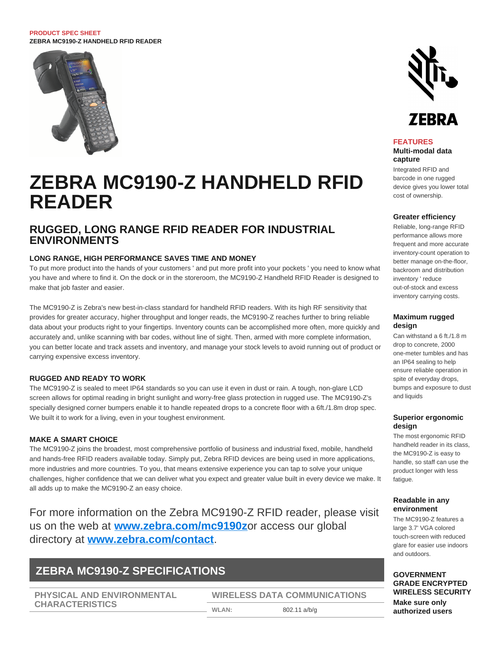#### **PRODUCT SPEC SHEET ZEBRA MC9190-Z HANDHELD RFID READER**



# **ZEBRA MC9190-Z HANDHELD RFID READER**

# **RUGGED, LONG RANGE RFID READER FOR INDUSTRIAL ENVIRONMENTS**

# **LONG RANGE, HIGH PERFORMANCE SAVES TIME AND MONEY**

To put more product into the hands of your customers ' and put more profit into your pockets ' you need to know what you have and where to find it. On the dock or in the storeroom, the MC9190-Z Handheld RFID Reader is designed to make that job faster and easier.

The MC9190-Z is Zebra's new best-in-class standard for handheld RFID readers. With its high RF sensitivity that provides for greater accuracy, higher throughput and longer reads, the MC9190-Z reaches further to bring reliable data about your products right to your fingertips. Inventory counts can be accomplished more often, more quickly and accurately and, unlike scanning with bar codes, without line of sight. Then, armed with more complete information, you can better locate and track assets and inventory, and manage your stock levels to avoid running out of product or carrying expensive excess inventory.

## **RUGGED AND READY TO WORK**

The MC9190-Z is sealed to meet IP64 standards so you can use it even in dust or rain. A tough, non-glare LCD screen allows for optimal reading in bright sunlight and worry-free glass protection in rugged use. The MC9190-Z's specially designed corner bumpers enable it to handle repeated drops to a concrete floor with a 6ft./1.8m drop spec. We built it to work for a living, even in your toughest environment.

#### **MAKE A SMART CHOICE**

The MC9190-Z joins the broadest, most comprehensive portfolio of business and industrial fixed, mobile, handheld and hands-free RFID readers available today. Simply put, Zebra RFID devices are being used in more applications, more industries and more countries. To you, that means extensive experience you can tap to solve your unique challenges, higher confidence that we can deliver what you expect and greater value built in every device we make. It all adds up to make the MC9190-Z an easy choice.

For more information on the Zebra MC9190-Z RFID reader, please visit us on the web at **[www.zebra.com/mc9190z](http://www.zebra.com/mc9190z)**or access our global directory at **[www.zebra.com/contact](http://www.zebra.com/contact)**.

# **ZEBRA MC9190-Z SPECIFICATIONS**

**PHYSICAL AND ENVIRONMENTAL CHARACTERISTICS**

**WIRELESS DATA COMMUNICATIONS WLAN:** 802.11 a/b/g



#### **FEATURES**

**Multi-modal data capture**

Integrated RFID and barcode in one rugged device gives you lower total cost of ownership.

#### **Greater efficiency**

Reliable, long-range RFID performance allows more frequent and more accurate inventory-count operation to better manage on-the-floor, backroom and distribution inventory ' reduce out-of-stock and excess inventory carrying costs.

#### **Maximum rugged design**

Can withstand a 6 ft./1.8 m drop to concrete, 2000 one-meter tumbles and has an IP64 sealing to help ensure reliable operation in spite of everyday drops, bumps and exposure to dust and liquids

#### **Superior ergonomic design**

The most ergonomic RFID handheld reader in its class, the MC9190-Z is easy to handle, so staff can use the product longer with less fatigue.

### **Readable in any environment**

The MC9190-Z features a large 3.7' VGA colored touch-screen with reduced glare for easier use indoors and outdoors.

## **GOVERNMENT GRADE ENCRYPTED WIRELESS SECURITY Make sure only authorized users**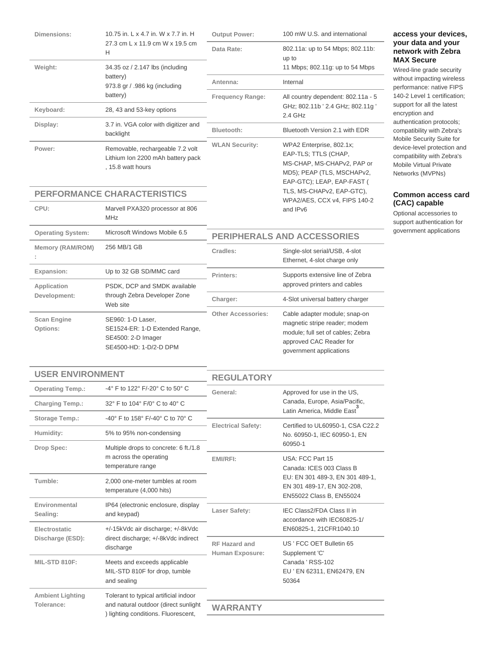| Dimensions:                    | 10.75 in, L x 4.7 in, W x 7.7 in, H<br>27.3 cm L x 11.9 cm W x 19.5 cm<br>H                         | <b>Output Power:</b>                                      | 100 mW U.S. and international                                                                                                                             |
|--------------------------------|-----------------------------------------------------------------------------------------------------|-----------------------------------------------------------|-----------------------------------------------------------------------------------------------------------------------------------------------------------|
|                                |                                                                                                     | Data Rate:                                                | 802.11a: up to 54 Mbps; 802.11b:<br>up to                                                                                                                 |
| Weight:                        | 34.35 oz / 2.147 lbs (including<br>battery)<br>973.8 gr / .986 kg (including<br>battery)            |                                                           | 11 Mbps; 802.11g: up to 54 Mbps                                                                                                                           |
|                                |                                                                                                     | Antenna:                                                  | Internal                                                                                                                                                  |
|                                |                                                                                                     | <b>Frequency Range:</b>                                   | All country dependent: 802.11a - 5                                                                                                                        |
| Keyboard:                      | 28, 43 and 53-key options                                                                           |                                                           | GHz; 802.11b ' 2.4 GHz; 802.11g '<br>2.4 GHz                                                                                                              |
| Display:                       | 3.7 in. VGA color with digitizer and<br>backlight                                                   | Bluetooth:                                                | Bluetooth Version 2.1 with EDR                                                                                                                            |
| Power:                         | Removable, rechargeable 7.2 volt<br>Lithium Ion 2200 mAh battery pack<br>, 15.8 watt hours          | <b>WLAN Security:</b>                                     | WPA2 Enterprise, 802.1x;<br>EAP-TLS; TTLS (CHAP,<br>MS-CHAP, MS-CHAPv2, PAP or<br>MD5); PEAP (TLS, MSCHAPv2,<br>EAP-GTC); LEAP, EAP-FAST (                |
|                                | <b>PERFORMANCE CHARACTERISTICS</b>                                                                  | TLS, MS-CHAPv2, EAP-GTC),<br>WPA2/AES, CCX v4, FIPS 140-2 |                                                                                                                                                           |
| CPU:                           | Marvell PXA320 processor at 806<br><b>MHz</b>                                                       |                                                           | and IPv6                                                                                                                                                  |
| <b>Operating System:</b>       | Microsoft Windows Mobile 6.5                                                                        | <b>PERIPHERALS AND ACCESSORIES</b>                        |                                                                                                                                                           |
| Memory (RAM/ROM)               | 256 MB/1 GB                                                                                         | Cradles:                                                  | Single-slot serial/USB, 4-slot<br>Ethernet, 4-slot charge only                                                                                            |
| Expansion:                     | Up to 32 GB SD/MMC card                                                                             | Printers:                                                 | Supports extensive line of Zebra                                                                                                                          |
| Application<br>Development:    | PSDK, DCP and SMDK available<br>through Zebra Developer Zone<br>Web site                            |                                                           | approved printers and cables                                                                                                                              |
|                                |                                                                                                     | Charger:                                                  | 4-Slot universal battery charger                                                                                                                          |
| <b>Scan Engine</b><br>Options: | SE960: 1-D Laser,<br>SE1524-ER: 1-D Extended Range,<br>SE4500: 2-D Imager<br>SE4500-HD: 1-D/2-D DPM | <b>Other Accessories:</b>                                 | Cable adapter module; snap-on<br>magnetic stripe reader; modem<br>module; full set of cables; Zebra<br>approved CAC Reader for<br>government applications |
|                                |                                                                                                     |                                                           |                                                                                                                                                           |

# **access your devices, your data and your network with Zebra MAX Secure**

Wired-line grade security without impacting wireless performance: native FIPS 140-2 Level 1 certification; support for all the latest encryption and authentication protocols; compatibility with Zebra's Mobile Security Suite for device-level protection and compatibility with Zebra's Mobile Virtual Private Networks (MVPNs)

# **Common access card (CAC) capable**

Optional accessories to support authentication for government applications

| <b>USER ENVIRONMENT</b>               |                                                                                                                      | <b>REGULATORY</b>                       |                                                                                           |
|---------------------------------------|----------------------------------------------------------------------------------------------------------------------|-----------------------------------------|-------------------------------------------------------------------------------------------|
| <b>Operating Temp.:</b>               | -4° F to 122° F/-20° C to 50° C                                                                                      | General:                                | Approved for use in the US,                                                               |
| <b>Charging Temp.:</b>                | 32° F to 104° F/0° C to 40° C                                                                                        |                                         | Canada, Europe, Asia/Pacific,<br>Latin America. Middle East                               |
| Storage Temp.:                        | -40 $^{\circ}$ F to 158 $^{\circ}$ F/-40 $^{\circ}$ C to 70 $^{\circ}$ C                                             |                                         |                                                                                           |
| Humidity:                             | 5% to 95% non-condensing                                                                                             | <b>Electrical Safety:</b>               | Certified to UL60950-1, CSA C22.2<br>No. 60950-1, IEC 60950-1, EN<br>60950-1              |
| Drop Spec:                            | Multiple drops to concrete: 6 ft./1.8                                                                                |                                         |                                                                                           |
|                                       | m across the operating<br>temperature range                                                                          | EMI/RFI:                                | USA: FCC Part 15<br>Canada: ICES 003 Class B                                              |
| Tumble:                               | 2.000 one-meter tumbles at room<br>temperature (4,000 hits)                                                          |                                         | EU: EN 301 489-3, EN 301 489-1,<br>EN 301 489-17, EN 302-208,<br>EN55022 Class B, EN55024 |
| Environmental<br>Sealing:             | IP64 (electronic enclosure, display<br>and keypad)                                                                   | Laser Safety:                           | IEC Class2/FDA Class II in<br>accordance with IEC60825-1/                                 |
| Electrostatic<br>Discharge (ESD):     | +/-15kVdc air discharge; +/-8kVdc<br>direct discharge: +/-8kVdc indirect<br>discharge                                |                                         | EN60825-1, 21CFR1040.10                                                                   |
|                                       |                                                                                                                      | <b>RF Hazard and</b><br>Human Exposure: | US ' FCC OET Bulletin 65<br>Supplement 'C'                                                |
| MIL-STD 810F:                         | Meets and exceeds applicable<br>MIL-STD 810F for drop, tumble<br>and sealing                                         |                                         | Canada ' RSS-102<br>EU ' EN 62311, EN62479, EN<br>50364                                   |
| <b>Ambient Lighting</b><br>Tolerance: | Tolerant to typical artificial indoor<br>and natural outdoor (direct sunlight<br>) lighting conditions. Fluorescent, |                                         |                                                                                           |
|                                       |                                                                                                                      | WARRANTY                                |                                                                                           |
|                                       |                                                                                                                      |                                         |                                                                                           |